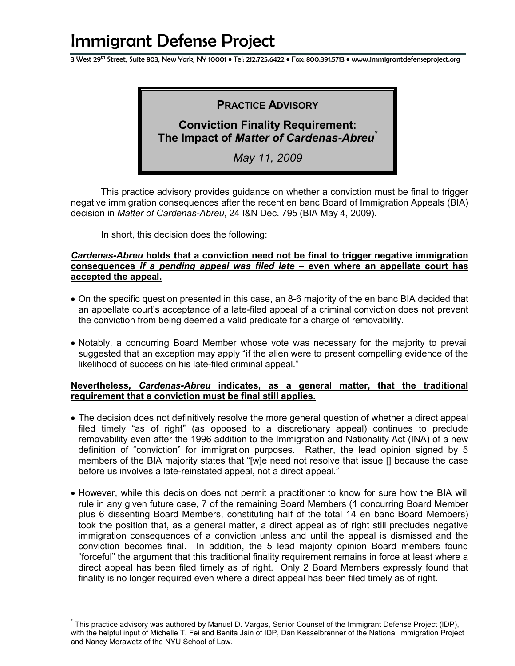3 West 29<sup>th</sup> Street, Suite 803, New York, NY 10001 • Tel: 212.725.6422 • Fax: 800.391.5713 • www.immigrantdefenseproject.org

## **PRACTICE ADVISORY**

# **Conviction Finality Requirement: The Impact of** *Matter of Cardenas-Abreu\**

*May 11, 2009*

This practice advisory provides guidance on whether a conviction must be final to trigger negative immigration consequences after the recent en banc Board of Immigration Appeals (BIA) decision in *Matter of Cardenas-Abreu*, 24 I&N Dec. 795 (BIA May 4, 2009).

In short, this decision does the following:

#### *Cardenas-Abreu* **holds that a conviction need not be final to trigger negative immigration consequences** *if a pending appeal was filed late* **– even where an appellate court has accepted the appeal.**

- On the specific question presented in this case, an 8-6 majority of the en banc BIA decided that an appellate court's acceptance of a late-filed appeal of a criminal conviction does not prevent the conviction from being deemed a valid predicate for a charge of removability.
- Notably, a concurring Board Member whose vote was necessary for the majority to prevail suggested that an exception may apply "if the alien were to present compelling evidence of the likelihood of success on his late-filed criminal appeal."

#### **Nevertheless,** *Cardenas-Abreu* **indicates, as a general matter, that the traditional requirement that a conviction must be final still applies.**

- The decision does not definitively resolve the more general question of whether a direct appeal filed timely "as of right" (as opposed to a discretionary appeal) continues to preclude removability even after the 1996 addition to the Immigration and Nationality Act (INA) of a new definition of "conviction" for immigration purposes. Rather, the lead opinion signed by 5 members of the BIA majority states that "[w]e need not resolve that issue [] because the case before us involves a late-reinstated appeal, not a direct appeal."
- However, while this decision does not permit a practitioner to know for sure how the BIA will rule in any given future case, 7 of the remaining Board Members (1 concurring Board Member plus 6 dissenting Board Members, constituting half of the total 14 en banc Board Members) took the position that, as a general matter, a direct appeal as of right still precludes negative immigration consequences of a conviction unless and until the appeal is dismissed and the conviction becomes final. In addition, the 5 lead majority opinion Board members found "forceful" the argument that this traditional finality requirement remains in force at least where a direct appeal has been filed timely as of right. Only 2 Board Members expressly found that finality is no longer required even where a direct appeal has been filed timely as of right.

\* This practice advisory was authored by Manuel D. Vargas, Senior Counsel of the Immigrant Defense Project (IDP), with the helpful input of Michelle T. Fei and Benita Jain of IDP, Dan Kesselbrenner of the National Immigration Project and Nancy Morawetz of the NYU School of Law.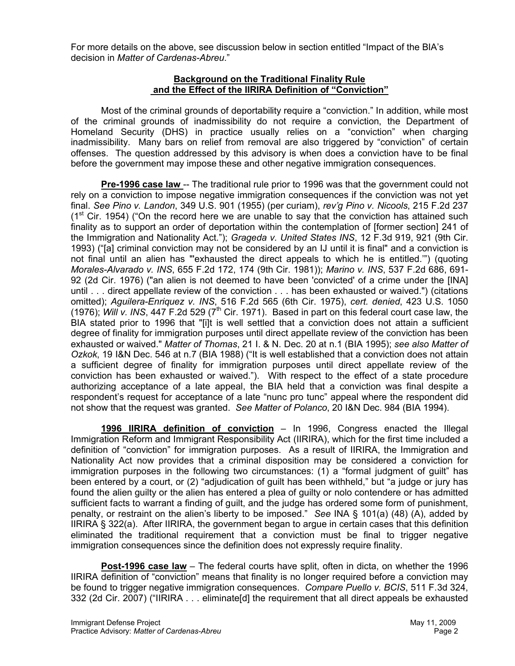For more details on the above, see discussion below in section entitled "Impact of the BIA's decision in *Matter of Cardenas-Abreu*."

#### **Background on the Traditional Finality Rule and the Effect of the IIRIRA Definition of "Conviction"**

Most of the criminal grounds of deportability require a "conviction." In addition, while most of the criminal grounds of inadmissibility do not require a conviction, the Department of Homeland Security (DHS) in practice usually relies on a "conviction" when charging inadmissibility. Many bars on relief from removal are also triggered by "conviction" of certain offenses. The question addressed by this advisory is when does a conviction have to be final before the government may impose these and other negative immigration consequences.

**Pre-1996 case law** -- The traditional rule prior to 1996 was that the government could not rely on a conviction to impose negative immigration consequences if the conviction was not yet final. *See Pino v. Landon*, 349 U.S. 901 (1955) (per curiam), *rev'g Pino v. Nicools*, 215 F.2d 237  $(1<sup>st</sup> Cir. 1954)$  ("On the record here we are unable to say that the conviction has attained such finality as to support an order of deportation within the contemplation of [former section] 241 of the Immigration and Nationality Act."); *Grageda v. United States INS*, 12 F.3d 919, 921 (9th Cir. 1993) ("[a] criminal conviction may not be considered by an IJ until it is final" and a conviction is not final until an alien has "'exhausted the direct appeals to which he is entitled.'") (quoting *Morales-Alvarado v. INS*, 655 F.2d 172, 174 (9th Cir. 1981)); *Marino v. INS*, 537 F.2d 686, 691- 92 (2d Cir. 1976) ("an alien is not deemed to have been 'convicted' of a crime under the [INA] until . . . direct appellate review of the conviction . . . has been exhausted or waived.") (citations omitted); *Aguilera-Enriquez v. INS*, 516 F.2d 565 (6th Cir. 1975), *cert. denied*, 423 U.S. 1050 (1976); *Will v. INS*, 447 F.2d 529 ( $7<sup>th</sup>$  Cir. 1971). Based in part on this federal court case law, the BIA stated prior to 1996 that "[i]t is well settled that a conviction does not attain a sufficient degree of finality for immigration purposes until direct appellate review of the conviction has been exhausted or waived." *Matter of Thomas*, 21 I. & N. Dec. 20 at n.1 (BIA 1995); *see also Matter of Ozkok*, 19 I&N Dec. 546 at n.7 (BIA 1988) ("It is well established that a conviction does not attain a sufficient degree of finality for immigration purposes until direct appellate review of the conviction has been exhausted or waived."). With respect to the effect of a state procedure authorizing acceptance of a late appeal, the BIA held that a conviction was final despite a respondent's request for acceptance of a late "nunc pro tunc" appeal where the respondent did not show that the request was granted. *See Matter of Polanco*, 20 I&N Dec. 984 (BIA 1994).

**1996 IIRIRA definition of conviction** – In 1996, Congress enacted the Illegal Immigration Reform and Immigrant Responsibility Act (IIRIRA), which for the first time included a definition of "conviction" for immigration purposes. As a result of IIRIRA, the Immigration and Nationality Act now provides that a criminal disposition may be considered a conviction for immigration purposes in the following two circumstances: (1) a "formal judgment of guilt" has been entered by a court, or (2) "adjudication of guilt has been withheld," but "a judge or jury has found the alien guilty or the alien has entered a plea of guilty or nolo contendere or has admitted sufficient facts to warrant a finding of guilt, and the judge has ordered some form of punishment, penalty, or restraint on the alien's liberty to be imposed." *See* INA § 101(a) (48) (A), added by IIRIRA § 322(a). After IIRIRA, the government began to argue in certain cases that this definition eliminated the traditional requirement that a conviction must be final to trigger negative immigration consequences since the definition does not expressly require finality.

**Post-1996 case law** – The federal courts have split, often in dicta, on whether the 1996 IIRIRA definition of "conviction" means that finality is no longer required before a conviction may be found to trigger negative immigration consequences. *Compare Puello v. BCIS*, 511 F.3d 324, 332 (2d Cir. 2007) ("IIRIRA . . . eliminate[d] the requirement that all direct appeals be exhausted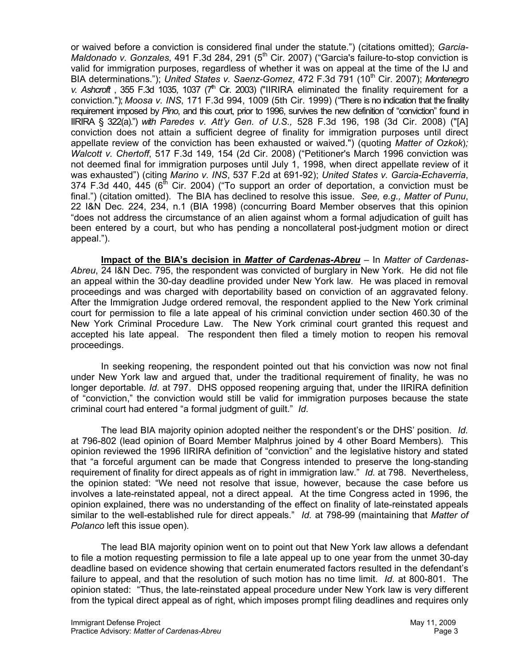or waived before a conviction is considered final under the statute.") (citations omitted); *Garcia-Maldonado v. Gonzales*, 491 F.3d 284, 291 (5<sup>th</sup> Cir. 2007) ("Garcia's failure-to-stop conviction is valid for immigration purposes, regardless of whether it was on appeal at the time of the IJ and BIA determinations."); *United States v. Saenz-Gomez*, 472 F.3d 791 (10<sup>th</sup> Cir. 2007); *Montenegro v. Ashcroft*, 355 F.3d 1035, 1037 (7<sup>th</sup> Cir. 2003) ("IIRIRA eliminated the finality requirement for a conviction."); *Moosa v. INS*, 171 F.3d 994, 1009 (5th Cir. 1999) ("There is no indication that the finality requirement imposed by *Pino*, and this court, prior to 1996, survives the new definition of "conviction" found in IIRIRA § 322(a).") *with Paredes v. Att'y Gen. of U.S.,* 528 F.3d 196, 198 (3d Cir. 2008) ("[A] conviction does not attain a sufficient degree of finality for immigration purposes until direct appellate review of the conviction has been exhausted or waived.") (quoting *Matter of Ozkok*)*; Walcott v. Chertoff*, 517 F.3d 149, 154 (2d Cir. 2008) ("Petitioner's March 1996 conviction was not deemed final for immigration purposes until July 1, 1998, when direct appellate review of it was exhausted") (citing *Marino v. INS*, 537 F.2d at 691-92); *United States v. Garcia-Echaverria*, 374 F.3d 440, 445 ( $6<sup>th</sup>$  Cir. 2004) ("To support an order of deportation, a conviction must be final.") (citation omitted). The BIA has declined to resolve this issue. *See, e.g., Matter of Punu*, 22 I&N Dec. 224, 234, n.1 (BIA 1998) (concurring Board Member observes that this opinion "does not address the circumstance of an alien against whom a formal adjudication of guilt has been entered by a court, but who has pending a noncollateral post-judgment motion or direct appeal.").

**Impact of the BIA's decision in** *Matter of Cardenas-Abreu* – In *Matter of Cardenas-Abreu*, 24 I&N Dec. 795, the respondent was convicted of burglary in New York. He did not file an appeal within the 30-day deadline provided under New York law. He was placed in removal proceedings and was charged with deportability based on conviction of an aggravated felony. After the Immigration Judge ordered removal, the respondent applied to the New York criminal court for permission to file a late appeal of his criminal conviction under section 460.30 of the New York Criminal Procedure Law. The New York criminal court granted this request and accepted his late appeal. The respondent then filed a timely motion to reopen his removal proceedings.

In seeking reopening, the respondent pointed out that his conviction was now not final under New York law and argued that, under the traditional requirement of finality, he was no longer deportable. *Id.* at 797. DHS opposed reopening arguing that, under the IIRIRA definition of "conviction," the conviction would still be valid for immigration purposes because the state criminal court had entered "a formal judgment of guilt." *Id*.

The lead BIA majority opinion adopted neither the respondent's or the DHS' position. *Id.* at 796-802 (lead opinion of Board Member Malphrus joined by 4 other Board Members). This opinion reviewed the 1996 IIRIRA definition of "conviction" and the legislative history and stated that "a forceful argument can be made that Congress intended to preserve the long-standing requirement of finality for direct appeals as of right in immigration law." *Id.* at 798. Nevertheless, the opinion stated: "We need not resolve that issue, however, because the case before us involves a late-reinstated appeal, not a direct appeal. At the time Congress acted in 1996, the opinion explained, there was no understanding of the effect on finality of late-reinstated appeals similar to the well-established rule for direct appeals." *Id.* at 798-99 (maintaining that *Matter of Polanco* left this issue open).

The lead BIA majority opinion went on to point out that New York law allows a defendant to file a motion requesting permission to file a late appeal up to one year from the unmet 30-day deadline based on evidence showing that certain enumerated factors resulted in the defendant's failure to appeal, and that the resolution of such motion has no time limit. *Id.* at 800-801. The opinion stated: "Thus, the late-reinstated appeal procedure under New York law is very different from the typical direct appeal as of right, which imposes prompt filing deadlines and requires only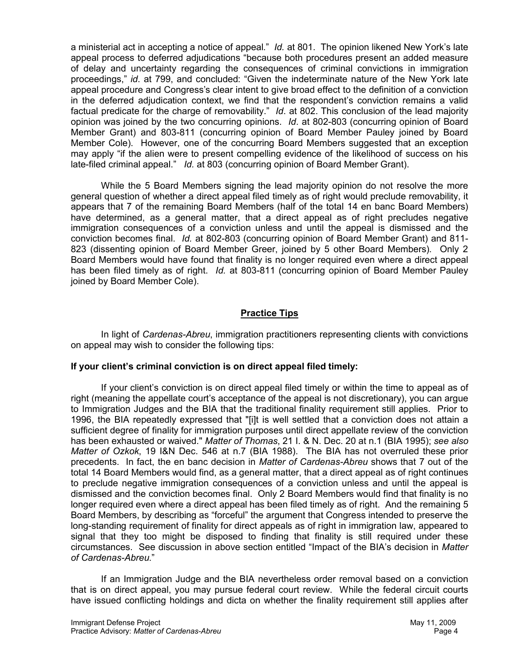a ministerial act in accepting a notice of appeal." *Id.* at 801. The opinion likened New York's late appeal process to deferred adjudications "because both procedures present an added measure of delay and uncertainty regarding the consequences of criminal convictions in immigration proceedings," *id*. at 799, and concluded: "Given the indeterminate nature of the New York late appeal procedure and Congress's clear intent to give broad effect to the definition of a conviction in the deferred adjudication context, we find that the respondent's conviction remains a valid factual predicate for the charge of removability." *Id*. at 802. This conclusion of the lead majority opinion was joined by the two concurring opinions. *Id*. at 802-803 (concurring opinion of Board Member Grant) and 803-811 (concurring opinion of Board Member Pauley joined by Board Member Cole). However, one of the concurring Board Members suggested that an exception may apply "if the alien were to present compelling evidence of the likelihood of success on his late-filed criminal appeal." *Id.* at 803 (concurring opinion of Board Member Grant).

While the 5 Board Members signing the lead majority opinion do not resolve the more general question of whether a direct appeal filed timely as of right would preclude removability, it appears that 7 of the remaining Board Members (half of the total 14 en banc Board Members) have determined, as a general matter, that a direct appeal as of right precludes negative immigration consequences of a conviction unless and until the appeal is dismissed and the conviction becomes final. *Id.* at 802-803 (concurring opinion of Board Member Grant) and 811- 823 (dissenting opinion of Board Member Greer, joined by 5 other Board Members). Only 2 Board Members would have found that finality is no longer required even where a direct appeal has been filed timely as of right. *Id.* at 803-811 (concurring opinion of Board Member Pauley joined by Board Member Cole).

## **Practice Tips**

In light of *Cardenas-Abreu*, immigration practitioners representing clients with convictions on appeal may wish to consider the following tips:

#### **If your client's criminal conviction is on direct appeal filed timely:**

If your client's conviction is on direct appeal filed timely or within the time to appeal as of right (meaning the appellate court's acceptance of the appeal is not discretionary), you can argue to Immigration Judges and the BIA that the traditional finality requirement still applies. Prior to 1996, the BIA repeatedly expressed that "[i]t is well settled that a conviction does not attain a sufficient degree of finality for immigration purposes until direct appellate review of the conviction has been exhausted or waived." *Matter of Thomas*, 21 I. & N. Dec. 20 at n.1 (BIA 1995); *see also Matter of Ozkok*, 19 I&N Dec. 546 at n.7 (BIA 1988). The BIA has not overruled these prior precedents. In fact, the en banc decision in *Matter of Cardenas-Abreu* shows that 7 out of the total 14 Board Members would find, as a general matter, that a direct appeal as of right continues to preclude negative immigration consequences of a conviction unless and until the appeal is dismissed and the conviction becomes final. Only 2 Board Members would find that finality is no longer required even where a direct appeal has been filed timely as of right. And the remaining 5 Board Members, by describing as "forceful" the argument that Congress intended to preserve the long-standing requirement of finality for direct appeals as of right in immigration law, appeared to signal that they too might be disposed to finding that finality is still required under these circumstances. See discussion in above section entitled "Impact of the BIA's decision in *Matter of Cardenas-Abreu*."

If an Immigration Judge and the BIA nevertheless order removal based on a conviction that is on direct appeal, you may pursue federal court review. While the federal circuit courts have issued conflicting holdings and dicta on whether the finality requirement still applies after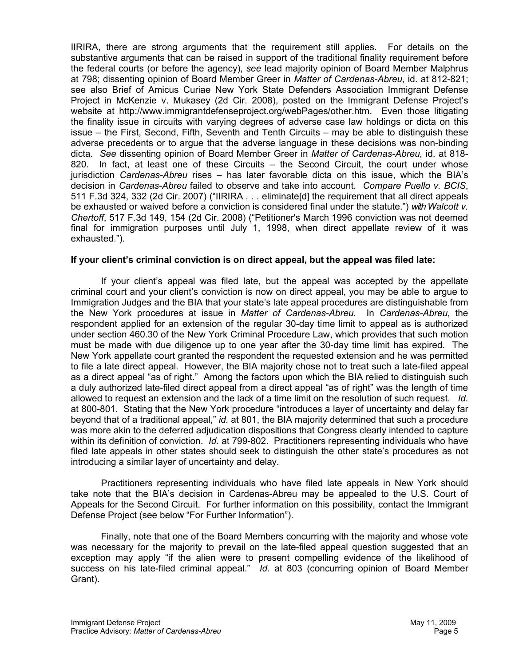IIRIRA, there are strong arguments that the requirement still applies. For details on the substantive arguments that can be raised in support of the traditional finality requirement before the federal courts (or before the agency), *see* lead majority opinion of Board Member Malphrus at 798; dissenting opinion of Board Member Greer in *Matter of Cardenas-Abreu*, id. at 812-821; see also Brief of Amicus Curiae New York State Defenders Association Immigrant Defense Project in McKenzie v. Mukasey (2d Cir. 2008), posted on the Immigrant Defense Project's website at http://www.immigrantdefenseproject.org/webPages/other.htm. Even those litigating the finality issue in circuits with varying degrees of adverse case law holdings or dicta on this issue – the First, Second, Fifth, Seventh and Tenth Circuits – may be able to distinguish these adverse precedents or to argue that the adverse language in these decisions was non-binding dicta. *See* dissenting opinion of Board Member Greer in *Matter of Cardenas-Abreu*, id. at 818- 820. In fact, at least one of these Circuits – the Second Circuit, the court under whose jurisdiction *Cardenas-Abreu* rises – has later favorable dicta on this issue, which the BIA's decision in *Cardenas-Abreu* failed to observe and take into account. *Compare Puello v. BCIS*, 511 F.3d 324, 332 (2d Cir. 2007) ("IIRIRA . . . eliminate[d] the requirement that all direct appeals be exhausted or waived before a conviction is considered final under the statute.") *with Walcott v. Chertoff*, 517 F.3d 149, 154 (2d Cir. 2008) ("Petitioner's March 1996 conviction was not deemed final for immigration purposes until July 1, 1998, when direct appellate review of it was exhausted.").

#### **If your client's criminal conviction is on direct appeal, but the appeal was filed late:**

If your client's appeal was filed late, but the appeal was accepted by the appellate criminal court and your client's conviction is now on direct appeal, you may be able to argue to Immigration Judges and the BIA that your state's late appeal procedures are distinguishable from the New York procedures at issue in *Matter of Cardenas-Abreu*. In *Cardenas-Abreu*, the respondent applied for an extension of the regular 30-day time limit to appeal as is authorized under section 460.30 of the New York Criminal Procedure Law, which provides that such motion must be made with due diligence up to one year after the 30-day time limit has expired. The New York appellate court granted the respondent the requested extension and he was permitted to file a late direct appeal. However, the BIA majority chose not to treat such a late-filed appeal as a direct appeal "as of right." Among the factors upon which the BIA relied to distinguish such a duly authorized late-filed direct appeal from a direct appeal "as of right" was the length of time allowed to request an extension and the lack of a time limit on the resolution of such request. *Id.* at 800-801. Stating that the New York procedure "introduces a layer of uncertainty and delay far beyond that of a traditional appeal," *id.* at 801, the BIA majority determined that such a procedure was more akin to the deferred adjudication dispositions that Congress clearly intended to capture within its definition of conviction. *Id.* at 799-802. Practitioners representing individuals who have filed late appeals in other states should seek to distinguish the other state's procedures as not introducing a similar layer of uncertainty and delay.

Practitioners representing individuals who have filed late appeals in New York should take note that the BIA's decision in Cardenas-Abreu may be appealed to the U.S. Court of Appeals for the Second Circuit. For further information on this possibility, contact the Immigrant Defense Project (see below "For Further Information").

Finally, note that one of the Board Members concurring with the majority and whose vote was necessary for the majority to prevail on the late-filed appeal question suggested that an exception may apply "if the alien were to present compelling evidence of the likelihood of success on his late-filed criminal appeal." *Id*. at 803 (concurring opinion of Board Member Grant).